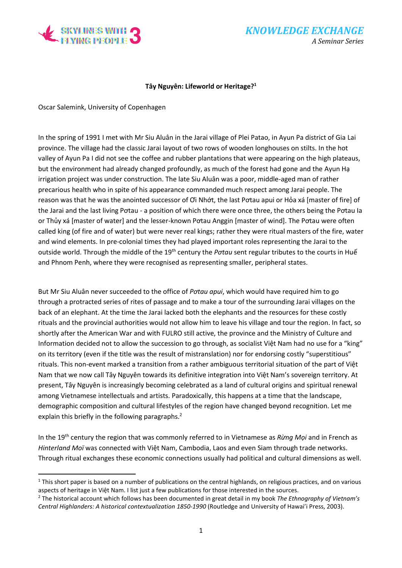

## **Tây Nguyên: Lifeworld or Heritage?<sup>1</sup>**

Oscar Salemink, University of Copenhagen

 $\overline{a}$ 

In the spring of 1991 I met with Mr Siu Aluân in the Jarai village of Plei Patao, in Ayun Pa district of Gia Lai province. The village had the classic Jarai layout of two rows of wooden longhouses on stilts. In the hot valley of Ayun Pa I did not see the coffee and rubber plantations that were appearing on the high plateaus, but the environment had already changed profoundly, as much of the forest had gone and the Ayun Hạ irrigation project was under construction. The late Siu Aluân was a poor, middle-aged man of rather precarious health who in spite of his appearance commanded much respect among Jarai people. The reason was that he was the anointed successor of Ơi Nhớt, the last Pơtau apui or Hỏa xá [master of fire] of the Jarai and the last living Pơtau - a position of which there were once three, the others being the Pơtau Ia or Thủy xá [master of water] and the lesser-known Pơtau Anggin [master of wind]. The Pơtau were often called king (of fire and of water) but were never real kings; rather they were ritual masters of the fire, water and wind elements. In pre-colonial times they had played important roles representing the Jarai to the outside world. Through the middle of the 19th century the *Pơtau* sent regular tributes to the courts in Huế and Phnom Penh, where they were recognised as representing smaller, peripheral states.

But Mr Siu Aluân never succeeded to the office of *Pơtau apui*, which would have required him to go through a protracted series of rites of passage and to make a tour of the surrounding Jarai villages on the back of an elephant. At the time the Jarai lacked both the elephants and the resources for these costly rituals and the provincial authorities would not allow him to leave his village and tour the region. In fact, so shortly after the American War and with FULRO still active, the province and the Ministry of Culture and Information decided not to allow the succession to go through, as socialist Việt Nam had no use for a "king" on its territory (even if the title was the result of mistranslation) nor for endorsing costly "superstitious" rituals. This non-event marked a transition from a rather ambiguous territorial situation of the part of Việt Nam that we now call Tây Nguyên towards its definitive integration into Việt Nam's sovereign territory. At present, Tây Nguyên is increasingly becoming celebrated as a land of cultural origins and spiritual renewal among Vietnamese intellectuals and artists. Paradoxically, this happens at a time that the landscape, demographic composition and cultural lifestyles of the region have changed beyond recognition. Let me explain this briefly in the following paragraphs.<sup>2</sup>

In the 19th century the region that was commonly referred to in Vietnamese as *Rừng Mọi* and in French as *Hinterland Moï* was connected with Việt Nam, Cambodia, Laos and even Siam through trade networks. Through ritual exchanges these economic connections usually had political and cultural dimensions as well.

 $1$  This short paper is based on a number of publications on the central highlands, on religious practices, and on various aspects of heritage in Việt Nam. I list just a few publications for those interested in the sources.

<sup>2</sup> The historical account which follows has been documented in great detail in my book *The Ethnography of Vietnam's Central Highlanders: A historical contextualization 1850-1990* (Routledge and University of Hawai'i Press, 2003).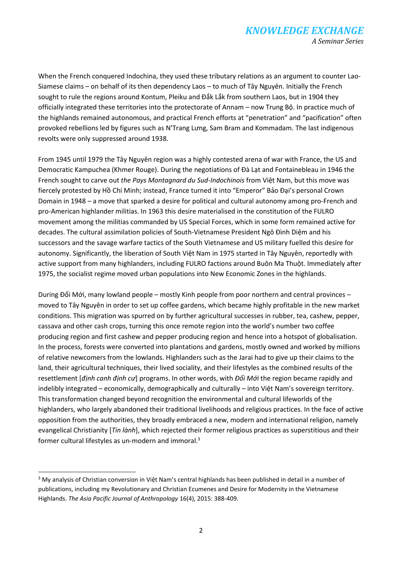## *KNOWLEDGE EXCHANGE A Seminar Series*

When the French conquered Indochina, they used these tributary relations as an argument to counter Lao-Siamese claims – on behalf of its then dependency Laos – to much of Tây Nguyên. Initially the French sought to rule the regions around Kontum, Pleiku and Đắk Lắk from southern Laos, but in 1904 they officially integrated these territories into the protectorate of Annam – now Trung Bộ. In practice much of the highlands remained autonomous, and practical French efforts at "penetration" and "pacification" often provoked rebellions led by figures such as N'Trang Lưng, Sam Bram and Kommadam. The last indigenous revolts were only suppressed around 1938.

From 1945 until 1979 the Tây Nguyên region was a highly contested arena of war with France, the US and Democratic Kampuchea (Khmer Rouge). During the negotiations of Đà Lạt and Fontainebleau in 1946 the French sought to carve out *the Pays Montagnard du Sud-Indochinois* from Việt Nam, but this move was fiercely protested by Hồ Chí Minh; instead, France turned it into "Emperor" Bảo Đại's personal Crown Domain in 1948 – a move that sparked a desire for political and cultural autonomy among pro-French and pro-American highlander militias. In 1963 this desire materialised in the constitution of the FULRO movement among the militias commanded by US Special Forces, which in some form remained active for decades. The cultural assimilation policies of South-Vietnamese President Ngô Đình Diệm and his successors and the savage warfare tactics of the South Vietnamese and US military fuelled this desire for autonomy. Significantly, the liberation of South Việt Nam in 1975 started in Tây Nguyên, reportedly with active support from many highlanders, including FULRO factions around Buôn Ma Thuột. Immediately after 1975, the socialist regime moved urban populations into New Economic Zones in the highlands.

During Đổi Mới, many lowland people – mostly Kinh people from poor northern and central provinces – moved to Tây Nguyên in order to set up coffee gardens, which became highly profitable in the new market conditions. This migration was spurred on by further agricultural successes in rubber, tea, cashew, pepper, cassava and other cash crops, turning this once remote region into the world's number two coffee producing region and first cashew and pepper producing region and hence into a hotspot of globalisation. In the process, forests were converted into plantations and gardens, mostly owned and worked by millions of relative newcomers from the lowlands. Highlanders such as the Jarai had to give up their claims to the land, their agricultural techniques, their lived sociality, and their lifestyles as the combined results of the resettlement [*định canh định cư*] programs. In other words, with *Đổi Mới* the region became rapidly and indelibly integrated – economically, demographically and culturally – into Việt Nam's sovereign territory. This transformation changed beyond recognition the environmental and cultural lifeworlds of the highlanders, who largely abandoned their traditional livelihoods and religious practices. In the face of active opposition from the authorities, they broadly embraced a new, modern and international religion, namely evangelical Christianity [*Tin lành*], which rejected their former religious practices as superstitious and their former cultural lifestyles as un-modern and immoral.<sup>3</sup>

**.** 

<sup>&</sup>lt;sup>3</sup> My analysis of Christian conversion in Việt Nam's central highlands has been published in detail in a number of publications, including my Revolutionary and Christian Ecumenes and Desire for Modernity in the Vietnamese Highlands. *The Asia Pacific Journal of Anthropology* 16(4), 2015: 388-409.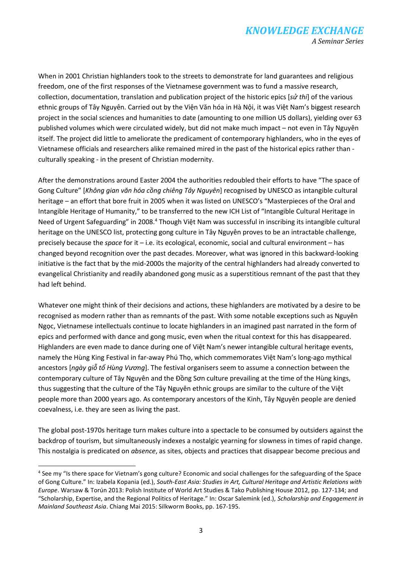When in 2001 Christian highlanders took to the streets to demonstrate for land guarantees and religious freedom, one of the first responses of the Vietnamese government was to fund a massive research, collection, documentation, translation and publication project of the historic epics [*sử thi*] of the various ethnic groups of Tây Nguyên. Carried out by the Viện Văn hóa in Hà Nội, it was Việt Nam's biggest research project in the social sciences and humanities to date (amounting to one million US dollars), yielding over 63 published volumes which were circulated widely, but did not make much impact – not even in Tây Nguyên itself. The project did little to ameliorate the predicament of contemporary highlanders, who in the eyes of Vietnamese officials and researchers alike remained mired in the past of the historical epics rather than culturally speaking - in the present of Christian modernity.

After the demonstrations around Easter 2004 the authorities redoubled their efforts to have "The space of Gong Culture" [*Không gian văn hóa cồng chiêng Tây Nguyên*] recognised by UNESCO as intangible cultural heritage – an effort that bore fruit in 2005 when it was listed on UNESCO's "Masterpieces of the Oral and Intangible Heritage of Humanity," to be transferred to the new ICH List of "Intangible Cultural Heritage in Need of Urgent Safeguarding" in 2008.<sup>4</sup> Though Việt Nam was successful in inscribing its intangible cultural heritage on the UNESCO list, protecting gong culture in Tây Nguyên proves to be an intractable challenge, precisely because the *space* for it – i.e. its ecological, economic, social and cultural environment – has changed beyond recognition over the past decades. Moreover, what was ignored in this backward-looking initiative is the fact that by the mid-2000s the majority of the central highlanders had already converted to evangelical Christianity and readily abandoned gong music as a superstitious remnant of the past that they had left behind.

Whatever one might think of their decisions and actions, these highlanders are motivated by a desire to be recognised as modern rather than as remnants of the past. With some notable exceptions such as Nguyên Ngọc, Vietnamese intellectuals continue to locate highlanders in an imagined past narrated in the form of epics and performed with dance and gong music, even when the ritual context for this has disappeared. Highlanders are even made to dance during one of Việt Nam's newer intangible cultural heritage events, namely the Hùng King Festival in far-away Phú Thọ, which commemorates Việt Nam's long-ago mythical ancestors [*ngày giỗ tổ Hùng Vương*]. The festival organisers seem to assume a connection between the contemporary culture of Tây Nguyên and the Đồng Sơn culture prevailing at the time of the Hùng kings, thus suggesting that the culture of the Tây Nguyên ethnic groups are similar to the culture of the Việt people more than 2000 years ago. As contemporary ancestors of the Kinh, Tây Nguyên people are denied coevalness, i.e. they are seen as living the past.

The global post-1970s heritage turn makes culture into a spectacle to be consumed by outsiders against the backdrop of tourism, but simultaneously indexes a nostalgic yearning for slowness in times of rapid change. This nostalgia is predicated on *absence*, as sites, objects and practices that disappear become precious and

**.** 

<sup>&</sup>lt;sup>4</sup> See my "Is there space for Vietnam's gong culture? Economic and social challenges for the safeguarding of the Space of Gong Culture." In: Izabela Kopania (ed.), *South-East Asia: Studies in Art, Cultural Heritage and Artistic Relations with Europe*. Warsaw & Torún 2013: Polish Institute of World Art Studies & Tako Publishing House 2012, pp. 127-134; and "Scholarship, Expertise, and the Regional Politics of Heritage." In: Oscar Salemink (ed.), *Scholarship and Engagement in Mainland Southeast Asia*. Chiang Mai 2015: Silkworm Books, pp. 167-195.